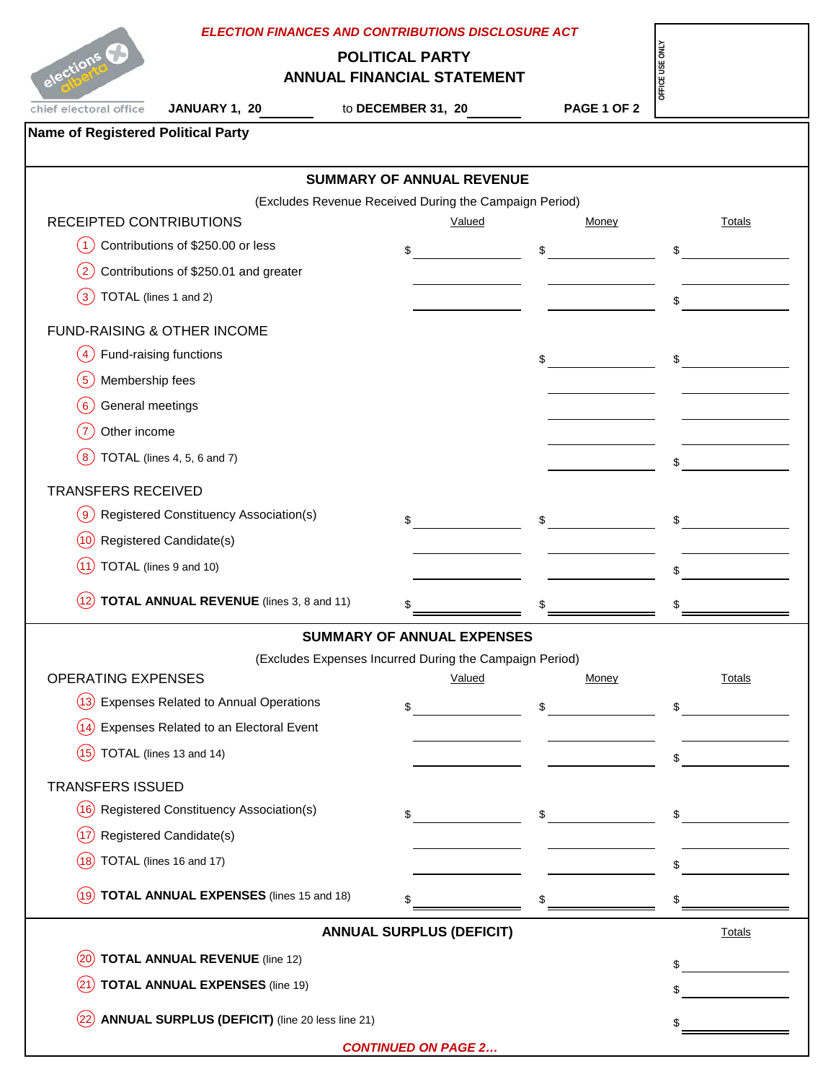| <b>ELECTION FINANCES AND CONTRIBUTIONS DISCLOSURE ACT</b>                                     |                                                         |                                    |                                                                                                                                                                                                                                                                                                                                                                                                                                 |  |  |
|-----------------------------------------------------------------------------------------------|---------------------------------------------------------|------------------------------------|---------------------------------------------------------------------------------------------------------------------------------------------------------------------------------------------------------------------------------------------------------------------------------------------------------------------------------------------------------------------------------------------------------------------------------|--|--|
| OFFICE USE ONL'<br>elections C<br><b>POLITICAL PARTY</b><br><b>ANNUAL FINANCIAL STATEMENT</b> |                                                         |                                    |                                                                                                                                                                                                                                                                                                                                                                                                                                 |  |  |
| chief electoral office<br>JANUARY 1, 20                                                       | to DECEMBER 31, 20                                      | <b>PAGE 1 OF 2</b>                 |                                                                                                                                                                                                                                                                                                                                                                                                                                 |  |  |
| <b>Name of Registered Political Party</b>                                                     |                                                         |                                    |                                                                                                                                                                                                                                                                                                                                                                                                                                 |  |  |
| <b>SUMMARY OF ANNUAL REVENUE</b>                                                              |                                                         |                                    |                                                                                                                                                                                                                                                                                                                                                                                                                                 |  |  |
|                                                                                               | (Excludes Revenue Received During the Campaign Period)  |                                    |                                                                                                                                                                                                                                                                                                                                                                                                                                 |  |  |
| RECEIPTED CONTRIBUTIONS                                                                       | Valued                                                  | Money                              | Totals                                                                                                                                                                                                                                                                                                                                                                                                                          |  |  |
| Contributions of \$250.00 or less<br>(1)                                                      | \$                                                      | \$                                 | \$                                                                                                                                                                                                                                                                                                                                                                                                                              |  |  |
| Contributions of \$250.01 and greater<br>$\left(2\right)$                                     |                                                         |                                    |                                                                                                                                                                                                                                                                                                                                                                                                                                 |  |  |
| TOTAL (lines 1 and 2)<br>$\mathbf{3}$                                                         |                                                         |                                    | \$                                                                                                                                                                                                                                                                                                                                                                                                                              |  |  |
| <b>FUND-RAISING &amp; OTHER INCOME</b>                                                        |                                                         |                                    |                                                                                                                                                                                                                                                                                                                                                                                                                                 |  |  |
| Fund-raising functions<br>$\overline{4}$                                                      |                                                         | \$                                 | \$                                                                                                                                                                                                                                                                                                                                                                                                                              |  |  |
| Membership fees<br>5                                                                          |                                                         |                                    |                                                                                                                                                                                                                                                                                                                                                                                                                                 |  |  |
| General meetings<br>$6 \,$                                                                    |                                                         |                                    |                                                                                                                                                                                                                                                                                                                                                                                                                                 |  |  |
| Other income<br>$\overline{7}$                                                                |                                                         |                                    |                                                                                                                                                                                                                                                                                                                                                                                                                                 |  |  |
| TOTAL (lines 4, 5, 6 and 7)<br>8                                                              |                                                         |                                    | \$                                                                                                                                                                                                                                                                                                                                                                                                                              |  |  |
| <b>TRANSFERS RECEIVED</b>                                                                     |                                                         |                                    |                                                                                                                                                                                                                                                                                                                                                                                                                                 |  |  |
| Registered Constituency Association(s)<br>( 9 )                                               | \$                                                      | \$                                 | \$                                                                                                                                                                                                                                                                                                                                                                                                                              |  |  |
| <b>Registered Candidate(s)</b><br>(10)                                                        |                                                         |                                    |                                                                                                                                                                                                                                                                                                                                                                                                                                 |  |  |
| TOTAL (lines 9 and 10)<br>(11)                                                                |                                                         |                                    | \$                                                                                                                                                                                                                                                                                                                                                                                                                              |  |  |
| <b>TOTAL ANNUAL REVENUE</b> (lines 3, 8 and 11)                                               | \$                                                      |                                    |                                                                                                                                                                                                                                                                                                                                                                                                                                 |  |  |
|                                                                                               | SUMMARY OF ANNUAL EXPENSES                              |                                    |                                                                                                                                                                                                                                                                                                                                                                                                                                 |  |  |
|                                                                                               | (Excludes Expenses Incurred During the Campaign Period) |                                    |                                                                                                                                                                                                                                                                                                                                                                                                                                 |  |  |
| <b>OPERATING EXPENSES</b>                                                                     | <b>Valued</b>                                           | Money                              | <b>Totals</b>                                                                                                                                                                                                                                                                                                                                                                                                                   |  |  |
| (13) Expenses Related to Annual Operations                                                    | $\sim$                                                  | $\sim$                             | $\frac{1}{\sqrt{1-\frac{1}{2}}}\frac{1}{\sqrt{1-\frac{1}{2}}}\frac{1}{\sqrt{1-\frac{1}{2}}}\frac{1}{\sqrt{1-\frac{1}{2}}}\frac{1}{\sqrt{1-\frac{1}{2}}}\frac{1}{\sqrt{1-\frac{1}{2}}}\frac{1}{\sqrt{1-\frac{1}{2}}}\frac{1}{\sqrt{1-\frac{1}{2}}}\frac{1}{\sqrt{1-\frac{1}{2}}}\frac{1}{\sqrt{1-\frac{1}{2}}}\frac{1}{\sqrt{1-\frac{1}{2}}}\frac{1}{\sqrt{1-\frac{1}{2}}}\frac{1}{\sqrt{1-\frac{1}{2}}}\frac{1}{\sqrt{1-\frac{$ |  |  |
| Expenses Related to an Electoral Event<br>(14)                                                |                                                         |                                    |                                                                                                                                                                                                                                                                                                                                                                                                                                 |  |  |
| TOTAL (lines 13 and 14)<br>(15)                                                               |                                                         |                                    | $\sim$                                                                                                                                                                                                                                                                                                                                                                                                                          |  |  |
| <b>TRANSFERS ISSUED</b>                                                                       |                                                         |                                    |                                                                                                                                                                                                                                                                                                                                                                                                                                 |  |  |
| (16) Registered Constituency Association(s)                                                   |                                                         | $\sim$ $\sim$ $\sim$ $\sim$ $\sim$ | $\sim$                                                                                                                                                                                                                                                                                                                                                                                                                          |  |  |
| Registered Candidate(s)<br>(17)                                                               |                                                         |                                    |                                                                                                                                                                                                                                                                                                                                                                                                                                 |  |  |
| TOTAL (lines 16 and 17)<br>(18)                                                               |                                                         |                                    |                                                                                                                                                                                                                                                                                                                                                                                                                                 |  |  |
|                                                                                               |                                                         |                                    |                                                                                                                                                                                                                                                                                                                                                                                                                                 |  |  |
| <b>TOTAL ANNUAL EXPENSES</b> (lines 15 and 18)<br>(19)                                        | \$                                                      | \$                                 | \$                                                                                                                                                                                                                                                                                                                                                                                                                              |  |  |
|                                                                                               | <b>ANNUAL SURPLUS (DEFICIT)</b>                         |                                    | <b>Totals</b>                                                                                                                                                                                                                                                                                                                                                                                                                   |  |  |
| <b>TOTAL ANNUAL REVENUE (line 12)</b><br>(20)                                                 |                                                         |                                    | \$                                                                                                                                                                                                                                                                                                                                                                                                                              |  |  |
| <b>TOTAL ANNUAL EXPENSES (line 19)</b><br>(21                                                 |                                                         |                                    |                                                                                                                                                                                                                                                                                                                                                                                                                                 |  |  |
| <b>ANNUAL SURPLUS (DEFICIT)</b> (line 20 less line 21)                                        |                                                         |                                    |                                                                                                                                                                                                                                                                                                                                                                                                                                 |  |  |
|                                                                                               | <b>CONTINUED ON PAGE 2</b>                              |                                    |                                                                                                                                                                                                                                                                                                                                                                                                                                 |  |  |